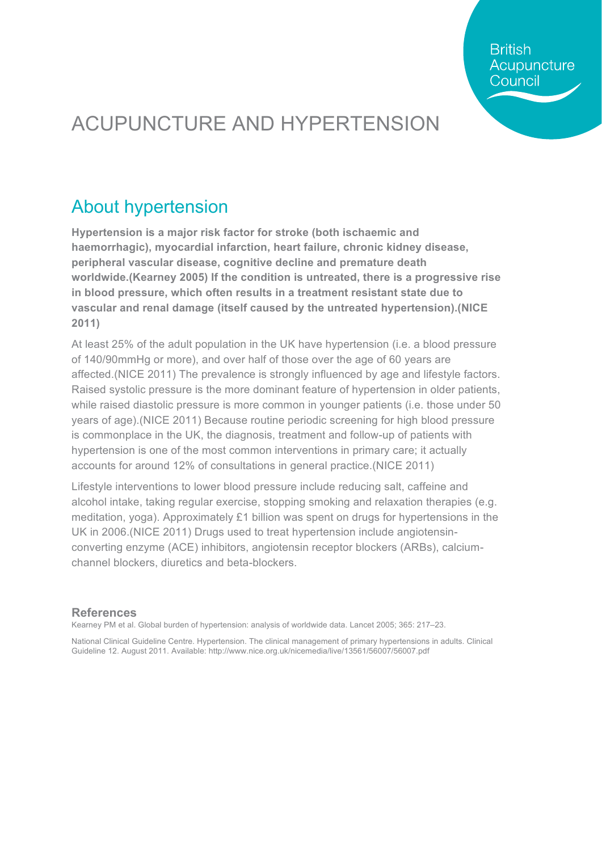**British** Acupuncture Council

## ACUPUNCTURE AND HYPERTENSION

#### About hypertension

**Hypertension is a major risk factor for stroke (both ischaemic and haemorrhagic), myocardial infarction, heart failure, chronic kidney disease, peripheral vascular disease, cognitive decline and premature death worldwide.(Kearney 2005) If the condition is untreated, there is a progressive rise in blood pressure, which often results in a treatment resistant state due to vascular and renal damage (itself caused by the untreated hypertension).(NICE 2011)**

At least 25% of the adult population in the UK have hypertension (i.e. a blood pressure of 140/90mmHg or more), and over half of those over the age of 60 years are affected.(NICE 2011) The prevalence is strongly influenced by age and lifestyle factors. Raised systolic pressure is the more dominant feature of hypertension in older patients, while raised diastolic pressure is more common in younger patients (i.e. those under 50 years of age).(NICE 2011) Because routine periodic screening for high blood pressure is commonplace in the UK, the diagnosis, treatment and follow-up of patients with hypertension is one of the most common interventions in primary care; it actually accounts for around 12% of consultations in general practice.(NICE 2011)

Lifestyle interventions to lower blood pressure include reducing salt, caffeine and alcohol intake, taking regular exercise, stopping smoking and relaxation therapies (e.g. meditation, yoga). Approximately £1 billion was spent on drugs for hypertensions in the UK in 2006.(NICE 2011) Drugs used to treat hypertension include angiotensinconverting enzyme (ACE) inhibitors, angiotensin receptor blockers (ARBs), calciumchannel blockers, diuretics and beta-blockers.

#### **References**

Kearney PM et al. Global burden of hypertension: analysis of worldwide data. Lancet 2005; 365: 217–23.

National Clinical Guideline Centre. Hypertension. The clinical management of primary hypertensions in adults. Clinical Guideline 12. August 2011. Available: http://www.nice.org.uk/nicemedia/live/13561/56007/56007.pdf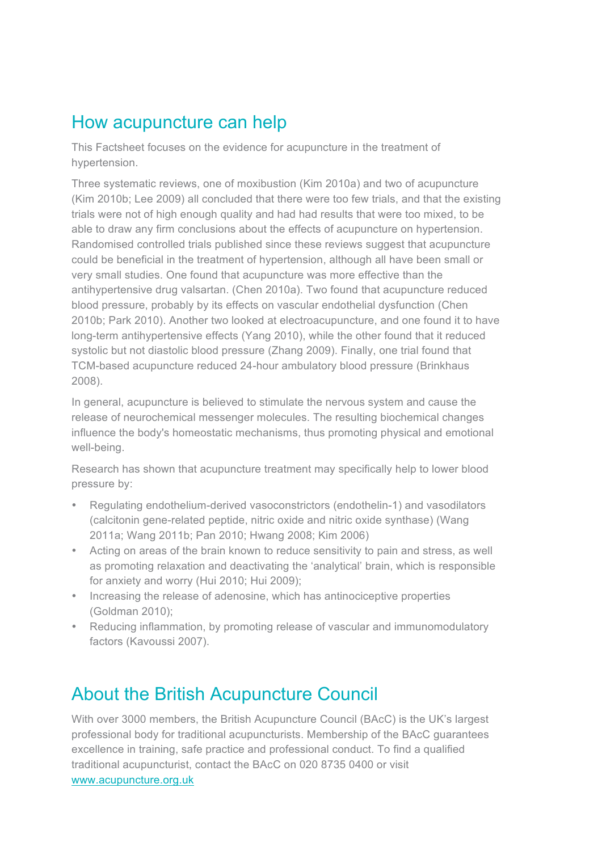#### How acupuncture can help

This Factsheet focuses on the evidence for acupuncture in the treatment of hypertension.

Three systematic reviews, one of moxibustion (Kim 2010a) and two of acupuncture (Kim 2010b; Lee 2009) all concluded that there were too few trials, and that the existing trials were not of high enough quality and had had results that were too mixed, to be able to draw any firm conclusions about the effects of acupuncture on hypertension. Randomised controlled trials published since these reviews suggest that acupuncture could be beneficial in the treatment of hypertension, although all have been small or very small studies. One found that acupuncture was more effective than the antihypertensive drug valsartan. (Chen 2010a). Two found that acupuncture reduced blood pressure, probably by its effects on vascular endothelial dysfunction (Chen 2010b; Park 2010). Another two looked at electroacupuncture, and one found it to have long-term antihypertensive effects (Yang 2010), while the other found that it reduced systolic but not diastolic blood pressure (Zhang 2009). Finally, one trial found that TCM-based acupuncture reduced 24-hour ambulatory blood pressure (Brinkhaus 2008).

In general, acupuncture is believed to stimulate the nervous system and cause the release of neurochemical messenger molecules. The resulting biochemical changes influence the body's homeostatic mechanisms, thus promoting physical and emotional well-being.

Research has shown that acupuncture treatment may specifically help to lower blood pressure by:

- Regulating endothelium-derived vasoconstrictors (endothelin-1) and vasodilators (calcitonin gene-related peptide, nitric oxide and nitric oxide synthase) (Wang 2011a; Wang 2011b; Pan 2010; Hwang 2008; Kim 2006)
- Acting on areas of the brain known to reduce sensitivity to pain and stress, as well as promoting relaxation and deactivating the 'analytical' brain, which is responsible for anxiety and worry (Hui 2010; Hui 2009);
- Increasing the release of adenosine, which has antinociceptive properties (Goldman 2010);
- Reducing inflammation, by promoting release of vascular and immunomodulatory factors (Kavoussi 2007).

#### About the British Acupuncture Council

With over 3000 members, the British Acupuncture Council (BAcC) is the UK's largest professional body for traditional acupuncturists. Membership of the BAcC guarantees excellence in training, safe practice and professional conduct. To find a qualified traditional acupuncturist, contact the BAcC on 020 8735 0400 or visit www.acupuncture.org.uk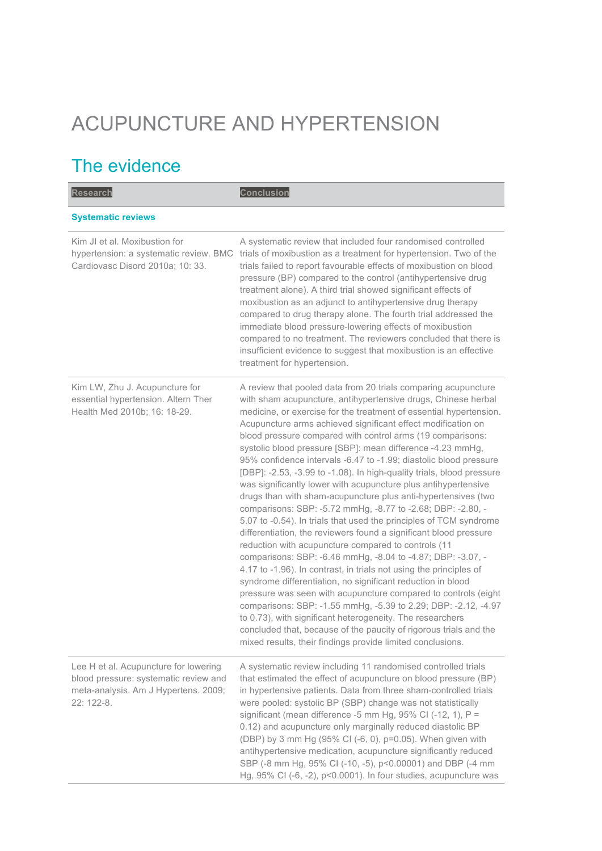# ACUPUNCTURE AND HYPERTENSION

### The evidence

| <b>Research</b>                                                                                                                      | <b>Conclusion</b>                                                                                                                                                                                                                                                                                                                                                                                                                                                                                                                                                                                                                                                                                                                                                                                                                                                                                                                                                                                                                                                                                                                                                                                                                                                                                                                                                                                                                                                                           |
|--------------------------------------------------------------------------------------------------------------------------------------|---------------------------------------------------------------------------------------------------------------------------------------------------------------------------------------------------------------------------------------------------------------------------------------------------------------------------------------------------------------------------------------------------------------------------------------------------------------------------------------------------------------------------------------------------------------------------------------------------------------------------------------------------------------------------------------------------------------------------------------------------------------------------------------------------------------------------------------------------------------------------------------------------------------------------------------------------------------------------------------------------------------------------------------------------------------------------------------------------------------------------------------------------------------------------------------------------------------------------------------------------------------------------------------------------------------------------------------------------------------------------------------------------------------------------------------------------------------------------------------------|
| <b>Systematic reviews</b>                                                                                                            |                                                                                                                                                                                                                                                                                                                                                                                                                                                                                                                                                                                                                                                                                                                                                                                                                                                                                                                                                                                                                                                                                                                                                                                                                                                                                                                                                                                                                                                                                             |
| Kim JI et al. Moxibustion for<br>hypertension: a systematic review. BMC<br>Cardiovasc Disord 2010a; 10: 33.                          | A systematic review that included four randomised controlled<br>trials of moxibustion as a treatment for hypertension. Two of the<br>trials failed to report favourable effects of moxibustion on blood<br>pressure (BP) compared to the control (antihypertensive drug<br>treatment alone). A third trial showed significant effects of<br>moxibustion as an adjunct to antihypertensive drug therapy<br>compared to drug therapy alone. The fourth trial addressed the<br>immediate blood pressure-lowering effects of moxibustion<br>compared to no treatment. The reviewers concluded that there is<br>insufficient evidence to suggest that moxibustion is an effective<br>treatment for hypertension.                                                                                                                                                                                                                                                                                                                                                                                                                                                                                                                                                                                                                                                                                                                                                                                 |
| Kim LW, Zhu J. Acupuncture for<br>essential hypertension. Altern Ther<br>Health Med 2010b; 16: 18-29.                                | A review that pooled data from 20 trials comparing acupuncture<br>with sham acupuncture, antihypertensive drugs, Chinese herbal<br>medicine, or exercise for the treatment of essential hypertension.<br>Acupuncture arms achieved significant effect modification on<br>blood pressure compared with control arms (19 comparisons:<br>systolic blood pressure [SBP]: mean difference -4.23 mmHg,<br>95% confidence intervals -6.47 to -1.99; diastolic blood pressure<br>[DBP]: -2.53, -3.99 to -1.08). In high-quality trials, blood pressure<br>was significantly lower with acupuncture plus antihypertensive<br>drugs than with sham-acupuncture plus anti-hypertensives (two<br>comparisons: SBP: -5.72 mmHg, -8.77 to -2.68; DBP: -2.80, -<br>5.07 to -0.54). In trials that used the principles of TCM syndrome<br>differentiation, the reviewers found a significant blood pressure<br>reduction with acupuncture compared to controls (11<br>comparisons: SBP: -6.46 mmHg, -8.04 to -4.87; DBP: -3.07, -<br>4.17 to -1.96). In contrast, in trials not using the principles of<br>syndrome differentiation, no significant reduction in blood<br>pressure was seen with acupuncture compared to controls (eight<br>comparisons: SBP: -1.55 mmHg, -5.39 to 2.29; DBP: -2.12, -4.97<br>to 0.73), with significant heterogeneity. The researchers<br>concluded that, because of the paucity of rigorous trials and the<br>mixed results, their findings provide limited conclusions. |
| Lee H et al. Acupuncture for lowering<br>blood pressure: systematic review and<br>meta-analysis. Am J Hypertens. 2009;<br>22: 122-8. | A systematic review including 11 randomised controlled trials<br>that estimated the effect of acupuncture on blood pressure (BP)<br>in hypertensive patients. Data from three sham-controlled trials<br>were pooled: systolic BP (SBP) change was not statistically<br>significant (mean difference -5 mm Hg, 95% CI (-12, 1), $P =$<br>0.12) and acupuncture only marginally reduced diastolic BP<br>(DBP) by 3 mm Hg (95% CI (-6, 0), p=0.05). When given with<br>antihypertensive medication, acupuncture significantly reduced<br>SBP (-8 mm Hg, 95% CI (-10, -5), p<0.00001) and DBP (-4 mm<br>Hg, 95% CI (-6, -2), p<0.0001). In four studies, acupuncture was                                                                                                                                                                                                                                                                                                                                                                                                                                                                                                                                                                                                                                                                                                                                                                                                                        |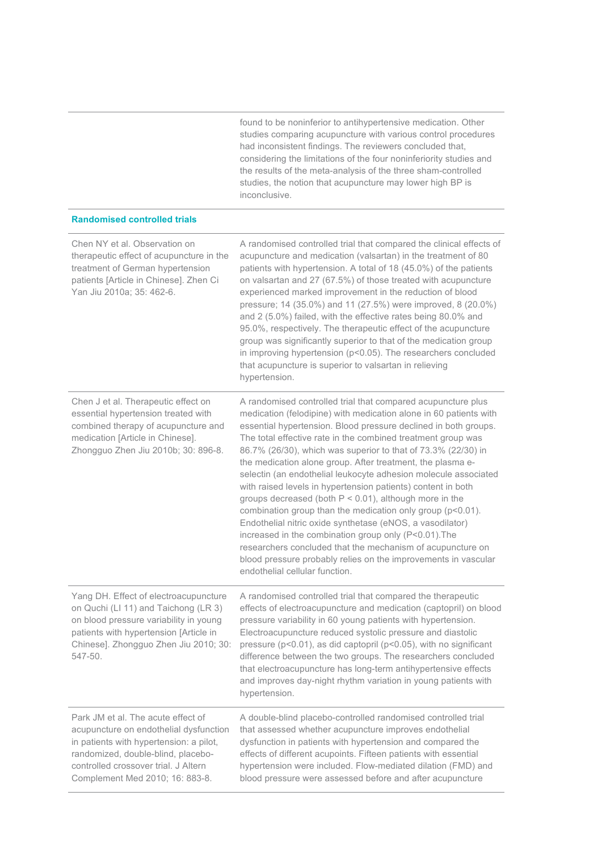found to be noninferior to antihypertensive medication. Other studies comparing acupuncture with various control procedures had inconsistent findings. The reviewers concluded that, considering the limitations of the four noninferiority studies and the results of the meta-analysis of the three sham-controlled studies, the notion that acupuncture may lower high BP is inconclusive.

| Chen NY et al. Observation on<br>therapeutic effect of acupuncture in the<br>treatment of German hypertension<br>patients [Article in Chinese]. Zhen Ci<br>Yan Jiu 2010a; 35: 462-6.                                                     | A randomised controlled trial that compared the clinical effects of<br>acupuncture and medication (valsartan) in the treatment of 80<br>patients with hypertension. A total of 18 (45.0%) of the patients<br>on valsartan and 27 (67.5%) of those treated with acupuncture<br>experienced marked improvement in the reduction of blood<br>pressure; 14 (35.0%) and 11 (27.5%) were improved, 8 (20.0%)<br>and 2 (5.0%) failed, with the effective rates being 80.0% and<br>95.0%, respectively. The therapeutic effect of the acupuncture<br>group was significantly superior to that of the medication group<br>in improving hypertension (p<0.05). The researchers concluded<br>that acupuncture is superior to valsartan in relieving<br>hypertension.                                                                                                                                                                                                 |
|------------------------------------------------------------------------------------------------------------------------------------------------------------------------------------------------------------------------------------------|-----------------------------------------------------------------------------------------------------------------------------------------------------------------------------------------------------------------------------------------------------------------------------------------------------------------------------------------------------------------------------------------------------------------------------------------------------------------------------------------------------------------------------------------------------------------------------------------------------------------------------------------------------------------------------------------------------------------------------------------------------------------------------------------------------------------------------------------------------------------------------------------------------------------------------------------------------------|
| Chen J et al. Therapeutic effect on<br>essential hypertension treated with<br>combined therapy of acupuncture and<br>medication [Article in Chinese].<br>Zhongguo Zhen Jiu 2010b; 30: 896-8.                                             | A randomised controlled trial that compared acupuncture plus<br>medication (felodipine) with medication alone in 60 patients with<br>essential hypertension. Blood pressure declined in both groups.<br>The total effective rate in the combined treatment group was<br>86.7% (26/30), which was superior to that of 73.3% (22/30) in<br>the medication alone group. After treatment, the plasma e-<br>selectin (an endothelial leukocyte adhesion molecule associated<br>with raised levels in hypertension patients) content in both<br>groups decreased (both $P < 0.01$ ), although more in the<br>combination group than the medication only group (p<0.01).<br>Endothelial nitric oxide synthetase (eNOS, a vasodilator)<br>increased in the combination group only (P<0.01). The<br>researchers concluded that the mechanism of acupuncture on<br>blood pressure probably relies on the improvements in vascular<br>endothelial cellular function. |
| Yang DH. Effect of electroacupuncture<br>on Quchi (LI 11) and Taichong (LR 3)<br>on blood pressure variability in young<br>patients with hypertension [Article in<br>Chinese]. Zhongguo Zhen Jiu 2010; 30:<br>547-50.                    | A randomised controlled trial that compared the therapeutic<br>effects of electroacupuncture and medication (captopril) on blood<br>pressure variability in 60 young patients with hypertension.<br>Electroacupuncture reduced systolic pressure and diastolic<br>pressure ( $p$ <0.01), as did captopril ( $p$ <0.05), with no significant<br>difference between the two groups. The researchers concluded<br>that electroacupuncture has long-term antihypertensive effects<br>and improves day-night rhythm variation in young patients with<br>hypertension.                                                                                                                                                                                                                                                                                                                                                                                          |
| Park JM et al. The acute effect of<br>acupuncture on endothelial dysfunction<br>in patients with hypertension: a pilot,<br>randomized, double-blind, placebo-<br>controlled crossover trial. J Altern<br>Complement Med 2010; 16: 883-8. | A double-blind placebo-controlled randomised controlled trial<br>that assessed whether acupuncture improves endothelial<br>dysfunction in patients with hypertension and compared the<br>effects of different acupoints. Fifteen patients with essential<br>hypertension were included. Flow-mediated dilation (FMD) and<br>blood pressure were assessed before and after acupuncture                                                                                                                                                                                                                                                                                                                                                                                                                                                                                                                                                                     |

**Randomised controlled trials**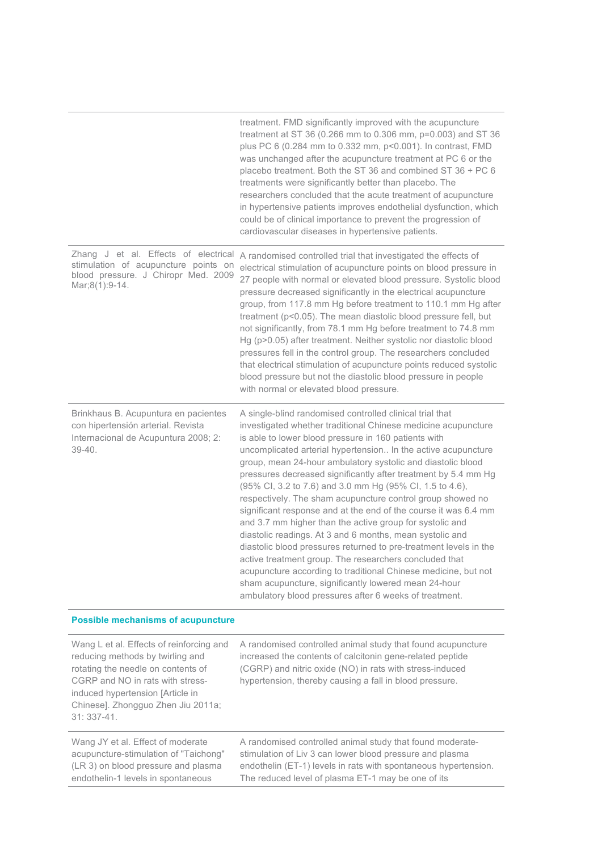|                                                                                                                                       | treatment. FMD significantly improved with the acupuncture<br>treatment at ST 36 (0.266 mm to 0.306 mm, p=0.003) and ST 36<br>plus PC 6 (0.284 mm to 0.332 mm, p<0.001). In contrast, FMD<br>was unchanged after the acupuncture treatment at PC 6 or the<br>placebo treatment. Both the ST 36 and combined ST 36 + PC 6<br>treatments were significantly better than placebo. The<br>researchers concluded that the acute treatment of acupuncture<br>in hypertensive patients improves endothelial dysfunction, which<br>could be of clinical importance to prevent the progression of<br>cardiovascular diseases in hypertensive patients.                                                                                                                                                                                                                                                                                                                                                                               |
|---------------------------------------------------------------------------------------------------------------------------------------|-----------------------------------------------------------------------------------------------------------------------------------------------------------------------------------------------------------------------------------------------------------------------------------------------------------------------------------------------------------------------------------------------------------------------------------------------------------------------------------------------------------------------------------------------------------------------------------------------------------------------------------------------------------------------------------------------------------------------------------------------------------------------------------------------------------------------------------------------------------------------------------------------------------------------------------------------------------------------------------------------------------------------------|
| Zhang J et al. Effects of electrical<br>stimulation of acupuncture points on<br>blood pressure. J Chiropr Med. 2009<br>Mar;8(1):9-14. | A randomised controlled trial that investigated the effects of<br>electrical stimulation of acupuncture points on blood pressure in<br>27 people with normal or elevated blood pressure. Systolic blood<br>pressure decreased significantly in the electrical acupuncture<br>group, from 117.8 mm Hg before treatment to 110.1 mm Hg after<br>treatment (p<0.05). The mean diastolic blood pressure fell, but<br>not significantly, from 78.1 mm Hg before treatment to 74.8 mm<br>Hg (p>0.05) after treatment. Neither systolic nor diastolic blood<br>pressures fell in the control group. The researchers concluded<br>that electrical stimulation of acupuncture points reduced systolic<br>blood pressure but not the diastolic blood pressure in people<br>with normal or elevated blood pressure.                                                                                                                                                                                                                    |
| Brinkhaus B. Acupuntura en pacientes<br>con hipertensión arterial. Revista<br>Internacional de Acupuntura 2008; 2:<br>$39 - 40.$      | A single-blind randomised controlled clinical trial that<br>investigated whether traditional Chinese medicine acupuncture<br>is able to lower blood pressure in 160 patients with<br>uncomplicated arterial hypertension In the active acupuncture<br>group, mean 24-hour ambulatory systolic and diastolic blood<br>pressures decreased significantly after treatment by 5.4 mm Hg<br>(95% Cl, 3.2 to 7.6) and 3.0 mm Hg (95% Cl, 1.5 to 4.6),<br>respectively. The sham acupuncture control group showed no<br>significant response and at the end of the course it was 6.4 mm<br>and 3.7 mm higher than the active group for systolic and<br>diastolic readings. At 3 and 6 months, mean systolic and<br>diastolic blood pressures returned to pre-treatment levels in the<br>active treatment group. The researchers concluded that<br>acupuncture according to traditional Chinese medicine, but not<br>sham acupuncture, significantly lowered mean 24-hour<br>ambulatory blood pressures after 6 weeks of treatment. |
| <b>Possible mechanisms of acupuncture</b>                                                                                             |                                                                                                                                                                                                                                                                                                                                                                                                                                                                                                                                                                                                                                                                                                                                                                                                                                                                                                                                                                                                                             |

L

| Wang L et al. Effects of reinforcing and<br>reducing methods by twirling and<br>rotating the needle on contents of<br>CGRP and NO in rats with stress-<br>induced hypertension [Article in<br>Chinese]. Zhongguo Zhen Jiu 2011a;<br>$31:337-41.$ | A randomised controlled animal study that found acupuncture<br>increased the contents of calcitonin gene-related peptide<br>(CGRP) and nitric oxide (NO) in rats with stress-induced<br>hypertension, thereby causing a fall in blood pressure. |
|--------------------------------------------------------------------------------------------------------------------------------------------------------------------------------------------------------------------------------------------------|-------------------------------------------------------------------------------------------------------------------------------------------------------------------------------------------------------------------------------------------------|
| Wang JY et al. Effect of moderate                                                                                                                                                                                                                | A randomised controlled animal study that found moderate-                                                                                                                                                                                       |
| acupuncture-stimulation of "Taichong"                                                                                                                                                                                                            | stimulation of Liv 3 can lower blood pressure and plasma                                                                                                                                                                                        |
| (LR 3) on blood pressure and plasma                                                                                                                                                                                                              | endothelin (ET-1) levels in rats with spontaneous hypertension.                                                                                                                                                                                 |
| endothelin-1 levels in spontaneous                                                                                                                                                                                                               | The reduced level of plasma ET-1 may be one of its                                                                                                                                                                                              |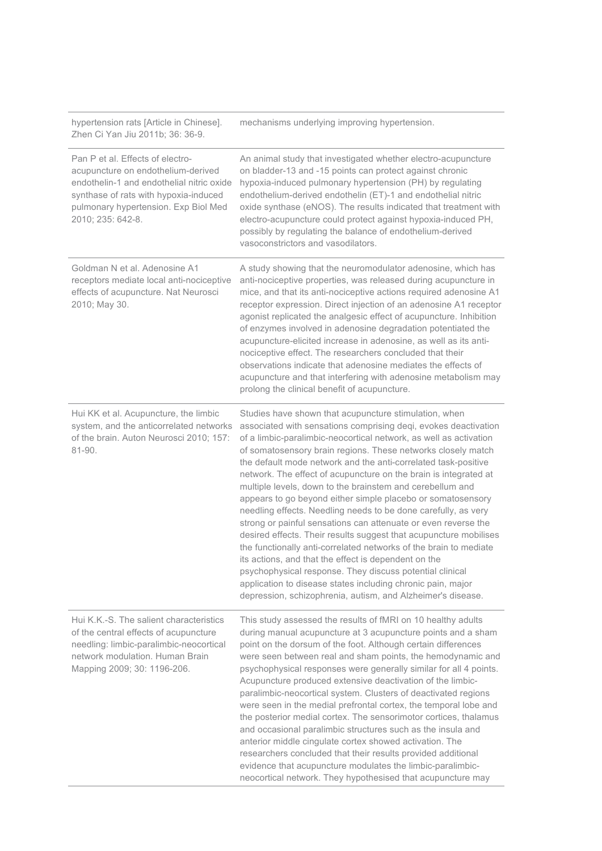| hypertension rats [Article in Chinese].<br>Zhen Ci Yan Jiu 2011b; 36: 36-9.                                                                                                                                               | mechanisms underlying improving hypertension.                                                                                                                                                                                                                                                                                                                                                                                                                                                                                                                                                                                                                                                                                                                                                                                                                                                                                                                                                                                                                   |
|---------------------------------------------------------------------------------------------------------------------------------------------------------------------------------------------------------------------------|-----------------------------------------------------------------------------------------------------------------------------------------------------------------------------------------------------------------------------------------------------------------------------------------------------------------------------------------------------------------------------------------------------------------------------------------------------------------------------------------------------------------------------------------------------------------------------------------------------------------------------------------------------------------------------------------------------------------------------------------------------------------------------------------------------------------------------------------------------------------------------------------------------------------------------------------------------------------------------------------------------------------------------------------------------------------|
| Pan P et al. Effects of electro-<br>acupuncture on endothelium-derived<br>endothelin-1 and endothelial nitric oxide<br>synthase of rats with hypoxia-induced<br>pulmonary hypertension. Exp Biol Med<br>2010; 235: 642-8. | An animal study that investigated whether electro-acupuncture<br>on bladder-13 and -15 points can protect against chronic<br>hypoxia-induced pulmonary hypertension (PH) by regulating<br>endothelium-derived endothelin (ET)-1 and endothelial nitric<br>oxide synthase (eNOS). The results indicated that treatment with<br>electro-acupuncture could protect against hypoxia-induced PH,<br>possibly by regulating the balance of endothelium-derived<br>vasoconstrictors and vasodilators.                                                                                                                                                                                                                                                                                                                                                                                                                                                                                                                                                                  |
| Goldman N et al. Adenosine A1<br>receptors mediate local anti-nociceptive<br>effects of acupuncture. Nat Neurosci<br>2010; May 30.                                                                                        | A study showing that the neuromodulator adenosine, which has<br>anti-nociceptive properties, was released during acupuncture in<br>mice, and that its anti-nociceptive actions required adenosine A1<br>receptor expression. Direct injection of an adenosine A1 receptor<br>agonist replicated the analgesic effect of acupuncture. Inhibition<br>of enzymes involved in adenosine degradation potentiated the<br>acupuncture-elicited increase in adenosine, as well as its anti-<br>nociceptive effect. The researchers concluded that their<br>observations indicate that adenosine mediates the effects of<br>acupuncture and that interfering with adenosine metabolism may<br>prolong the clinical benefit of acupuncture.                                                                                                                                                                                                                                                                                                                               |
| Hui KK et al. Acupuncture, the limbic<br>system, and the anticorrelated networks<br>of the brain. Auton Neurosci 2010; 157:<br>81-90.                                                                                     | Studies have shown that acupuncture stimulation, when<br>associated with sensations comprising deqi, evokes deactivation<br>of a limbic-paralimbic-neocortical network, as well as activation<br>of somatosensory brain regions. These networks closely match<br>the default mode network and the anti-correlated task-positive<br>network. The effect of acupuncture on the brain is integrated at<br>multiple levels, down to the brainstem and cerebellum and<br>appears to go beyond either simple placebo or somatosensory<br>needling effects. Needling needs to be done carefully, as very<br>strong or painful sensations can attenuate or even reverse the<br>desired effects. Their results suggest that acupuncture mobilises<br>the functionally anti-correlated networks of the brain to mediate<br>its actions, and that the effect is dependent on the<br>psychophysical response. They discuss potential clinical<br>application to disease states including chronic pain, major<br>depression, schizophrenia, autism, and Alzheimer's disease. |
| Hui K.K.-S. The salient characteristics<br>of the central effects of acupuncture<br>needling: limbic-paralimbic-neocortical<br>network modulation. Human Brain<br>Mapping 2009; 30: 1196-206.                             | This study assessed the results of fMRI on 10 healthy adults<br>during manual acupuncture at 3 acupuncture points and a sham<br>point on the dorsum of the foot. Although certain differences<br>were seen between real and sham points, the hemodynamic and<br>psychophysical responses were generally similar for all 4 points.<br>Acupuncture produced extensive deactivation of the limbic-<br>paralimbic-neocortical system. Clusters of deactivated regions<br>were seen in the medial prefrontal cortex, the temporal lobe and<br>the posterior medial cortex. The sensorimotor cortices, thalamus<br>and occasional paralimbic structures such as the insula and<br>anterior middle cingulate cortex showed activation. The<br>researchers concluded that their results provided additional<br>evidence that acupuncture modulates the limbic-paralimbic-<br>neocortical network. They hypothesised that acupuncture may                                                                                                                                |